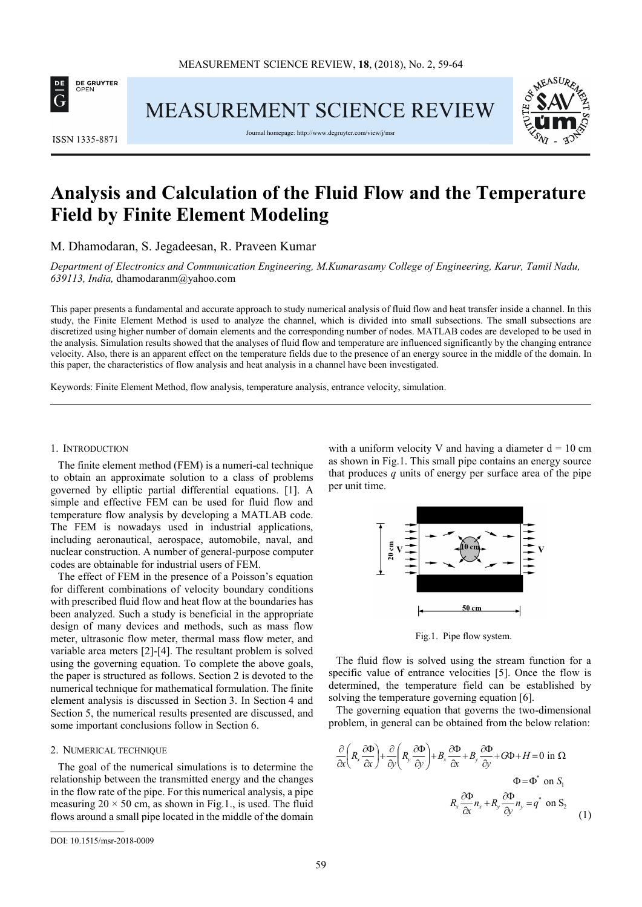

**MEASUREMENT SCIENCE REVIEW** 



Journal homepage: http://www.degruyter.com/view/j/ms



# **Analysis and Calculation of the Fluid Flow and the Temperature Field by Finite Element Modeling**

M. Dhamodaran, S. Jegadeesan, R. Praveen Kumar

*Department of Electronics and Communication Engineering, M.Kumarasamy College of Engineering, Karur, Tamil Nadu, 639113, India,* dhamodaranm@yahoo.com

This paper presents a fundamental and accurate approach to study numerical analysis of fluid flow and heat transfer inside a channel. In this study, the Finite Element Method is used to analyze the channel, which is divided into small subsections. The small subsections are discretized using higher number of domain elements and the corresponding number of nodes. MATLAB codes are developed to be used in the analysis. Simulation results showed that the analyses of fluid flow and temperature are influenced significantly by the changing entrance velocity. Also, there is an apparent effect on the temperature fields due to the presence of an energy source in the middle of the domain. In this paper, the characteristics of flow analysis and heat analysis in a channel have been investigated.

Keywords: Finite Element Method, flow analysis, temperature analysis, entrance velocity, simulation.

#### 1. INTRODUCTION

The finite element method (FEM) is a numeri-cal technique to obtain an approximate solution to a class of problems governed by elliptic partial differential equations. [1]. A simple and effective FEM can be used for fluid flow and temperature flow analysis by developing a MATLAB code. The FEM is nowadays used in industrial applications, including aeronautical, aerospace, automobile, naval, and nuclear construction. A number of general-purpose computer codes are obtainable for industrial users of FEM.

The effect of FEM in the presence of a Poisson's equation for different combinations of velocity boundary conditions with prescribed fluid flow and heat flow at the boundaries has been analyzed. Such a study is beneficial in the appropriate design of many devices and methods, such as mass flow meter, ultrasonic flow meter, thermal mass flow meter, and variable area meters [2]-[4]. The resultant problem is solved using the governing equation. To complete the above goals, the paper is structured as follows. Section 2 is devoted to the numerical technique for mathematical formulation. The finite element analysis is discussed in Section 3. In Section 4 and Section 5, the numerical results presented are discussed, and some important conclusions follow in Section 6.

#### 2. NUMERICAL TECHNIQUE

The goal of the numerical simulations is to determine the relationship between the transmitted energy and the changes in the flow rate of the pipe. For this numerical analysis, a pipe measuring  $20 \times 50$  cm, as shown in Fig.1., is used. The fluid flows around a small pipe located in the middle of the domain with a uniform velocity V and having a diameter  $d = 10$  cm as shown in Fig.1. This small pipe contains an energy source that produces *q* units of energy per surface area of the pipe per unit time.



Fig.1. Pipe flow system.

The fluid flow is solved using the stream function for a specific value of entrance velocities [5]. Once the flow is determined, the temperature field can be established by solving the temperature governing equation [6].

The governing equation that governs the two-dimensional problem, in general can be obtained from the below relation:

$$
\frac{\partial}{\partial x}\left(R_x \frac{\partial \Phi}{\partial x}\right) + \frac{\partial}{\partial y}\left(R_y \frac{\partial \Phi}{\partial y}\right) + B_x \frac{\partial \Phi}{\partial x} + B_y \frac{\partial \Phi}{\partial y} + G\Phi + H = 0 \text{ in } \Omega
$$
\n
$$
\Phi = \Phi^* \text{ on } S_1
$$
\n
$$
R_x \frac{\partial \Phi}{\partial x} n_x + R_y \frac{\partial \Phi}{\partial y} n_y = q^* \text{ on } S_2
$$
\n(1)

DOI: 10.1515/msr-2018-0009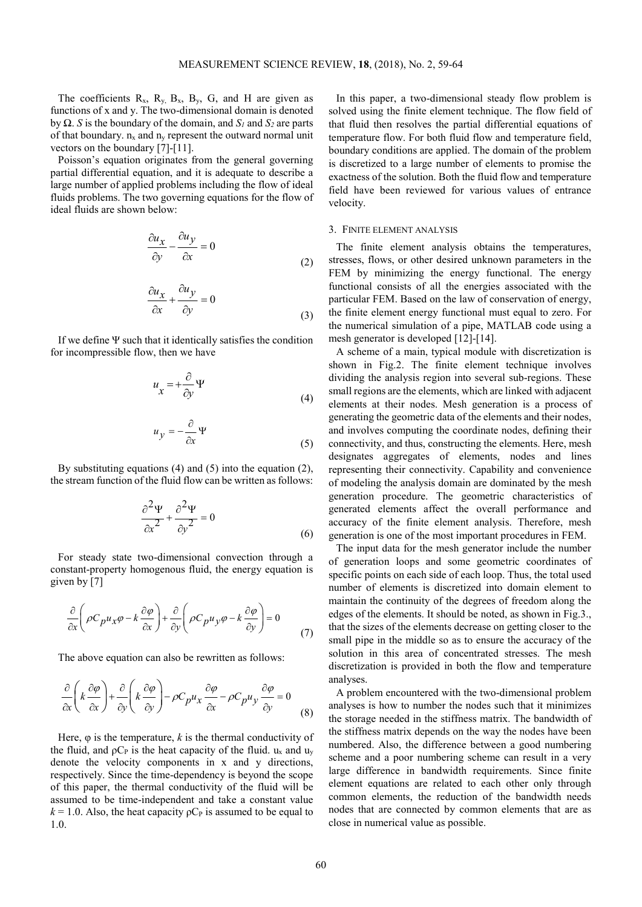The coefficients  $R_x$ ,  $R_y$ ,  $B_x$ ,  $B_y$ ,  $G$ , and H are given as functions of x and y. The two-dimensional domain is denoted by Ω. *S* is the boundary of the domain, and *S1* and *S2* are parts of that boundary.  $n_x$  and  $n_y$  represent the outward normal unit vectors on the boundary [7]-[11].

Poisson's equation originates from the general governing partial differential equation, and it is adequate to describe a large number of applied problems including the flow of ideal fluids problems. The two governing equations for the flow of ideal fluids are shown below:

$$
\frac{\partial u_x}{\partial y} - \frac{\partial u_y}{\partial x} = 0
$$
\n(2)

$$
\frac{\partial u_x}{\partial x} + \frac{\partial u_y}{\partial y} = 0
$$
\n(3)

If we define Ψ such that it identically satisfies the condition for incompressible flow, then we have

$$
u_x = +\frac{\partial}{\partial y} \Psi \tag{4}
$$

$$
u_y = -\frac{\partial}{\partial x} \Psi \tag{5}
$$

By substituting equations  $(4)$  and  $(5)$  into the equation  $(2)$ , the stream function of the fluid flow can be written as follows:

$$
\frac{\partial^2 \Psi}{\partial x^2} + \frac{\partial^2 \Psi}{\partial y^2} = 0
$$
\n(6)

For steady state two-dimensional convection through a constant-property homogenous fluid, the energy equation is given by [7]

$$
\frac{\partial}{\partial x}\left(\rho C_{p}u_{x}\varphi - k\frac{\partial\varphi}{\partial x}\right) + \frac{\partial}{\partial y}\left(\rho C_{p}u_{y}\varphi - k\frac{\partial\varphi}{\partial y}\right) = 0\tag{7}
$$

The above equation can also be rewritten as follows:

$$
\frac{\partial}{\partial x}\left(k\frac{\partial\varphi}{\partial x}\right) + \frac{\partial}{\partial y}\left(k\frac{\partial\varphi}{\partial y}\right) - \rho C_p u_x \frac{\partial\varphi}{\partial x} - \rho C_p u_y \frac{\partial\varphi}{\partial y} = 0
$$
\n(8)

Here,  $\varphi$  is the temperature, *k* is the thermal conductivity of the fluid, and  $pC_P$  is the heat capacity of the fluid. u<sub>x</sub> and u<sub>y</sub> denote the velocity components in x and y directions, respectively. Since the time-dependency is beyond the scope of this paper, the thermal conductivity of the fluid will be assumed to be time-independent and take a constant value  $k = 1.0$ . Also, the heat capacity  $pC_P$  is assumed to be equal to 1.0.

In this paper, a two-dimensional steady flow problem is solved using the finite element technique. The flow field of that fluid then resolves the partial differential equations of temperature flow. For both fluid flow and temperature field, boundary conditions are applied. The domain of the problem is discretized to a large number of elements to promise the exactness of the solution. Both the fluid flow and temperature field have been reviewed for various values of entrance velocity.

#### 3. FINITE ELEMENT ANALYSIS

The finite element analysis obtains the temperatures, stresses, flows, or other desired unknown parameters in the FEM by minimizing the energy functional. The energy functional consists of all the energies associated with the particular FEM. Based on the law of conservation of energy, the finite element energy functional must equal to zero. For the numerical simulation of a pipe, MATLAB code using a mesh generator is developed [12]-[14].

A scheme of a main, typical module with discretization is shown in Fig.2. The finite element technique involves dividing the analysis region into several sub-regions. These small regions are the elements, which are linked with adjacent elements at their nodes. Mesh generation is a process of generating the geometric data of the elements and their nodes, and involves computing the coordinate nodes, defining their connectivity, and thus, constructing the elements. Here, mesh designates aggregates of elements, nodes and lines representing their connectivity. Capability and convenience of modeling the analysis domain are dominated by the mesh generation procedure. The geometric characteristics of generated elements affect the overall performance and accuracy of the finite element analysis. Therefore, mesh generation is one of the most important procedures in FEM.

The input data for the mesh generator include the number of generation loops and some geometric coordinates of specific points on each side of each loop. Thus, the total used number of elements is discretized into domain element to maintain the continuity of the degrees of freedom along the edges of the elements. It should be noted, as shown in Fig.3., that the sizes of the elements decrease on getting closer to the small pipe in the middle so as to ensure the accuracy of the solution in this area of concentrated stresses. The mesh discretization is provided in both the flow and temperature analyses.

A problem encountered with the two-dimensional problem analyses is how to number the nodes such that it minimizes the storage needed in the stiffness matrix. The bandwidth of the stiffness matrix depends on the way the nodes have been numbered. Also, the difference between a good numbering scheme and a poor numbering scheme can result in a very large difference in bandwidth requirements. Since finite element equations are related to each other only through common elements, the reduction of the bandwidth needs nodes that are connected by common elements that are as close in numerical value as possible.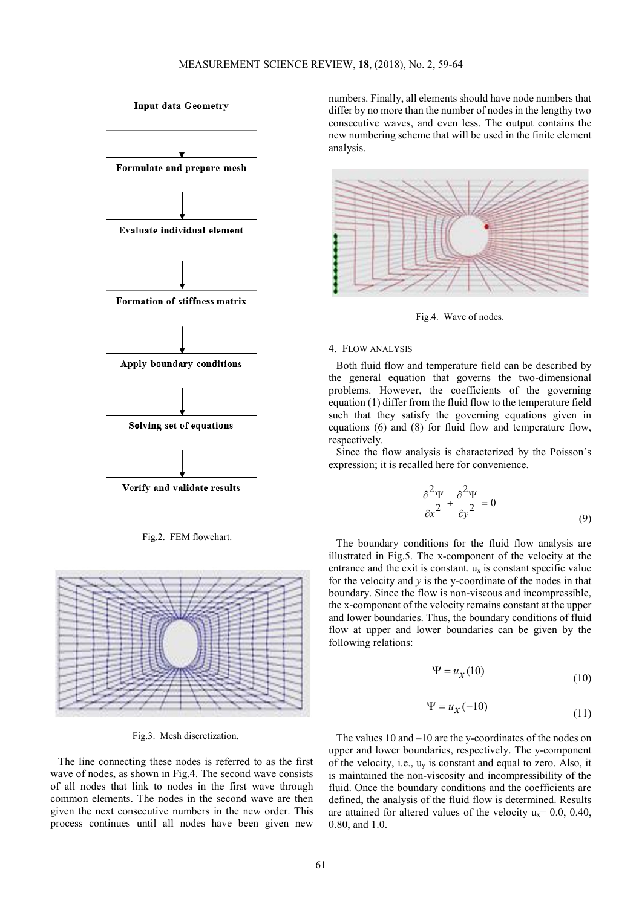

Fig.2. FEM flowchart.



Fig.3. Mesh discretization.

The line connecting these nodes is referred to as the first wave of nodes, as shown in Fig.4. The second wave consists of all nodes that link to nodes in the first wave through common elements. The nodes in the second wave are then given the next consecutive numbers in the new order. This process continues until all nodes have been given new numbers. Finally, all elements should have node numbers that differ by no more than the number of nodes in the lengthy two consecutive waves, and even less. The output contains the new numbering scheme that will be used in the finite element analysis.



Fig.4. Wave of nodes.

## 4. FLOW ANALYSIS

Both fluid flow and temperature field can be described by the general equation that governs the two-dimensional problems. However, the coefficients of the governing equation (1) differ from the fluid flow to the temperature field such that they satisfy the governing equations given in equations (6) and (8) for fluid flow and temperature flow, respectively.

Since the flow analysis is characterized by the Poisson's expression; it is recalled here for convenience.

$$
\frac{\partial^2 \Psi}{\partial x^2} + \frac{\partial^2 \Psi}{\partial y^2} = 0
$$
\n(9)

The boundary conditions for the fluid flow analysis are illustrated in Fig.5. The x-component of the velocity at the entrance and the exit is constant.  $u_x$  is constant specific value for the velocity and *y* is the y-coordinate of the nodes in that boundary. Since the flow is non-viscous and incompressible, the x-component of the velocity remains constant at the upper and lower boundaries. Thus, the boundary conditions of fluid flow at upper and lower boundaries can be given by the following relations:

$$
\Psi = u_{\mathcal{X}}(10) \tag{10}
$$

$$
\Psi = u_{\chi}(-10) \tag{11}
$$

The values 10 and –10 are the y-coordinates of the nodes on upper and lower boundaries, respectively. The y-component of the velocity, i.e., uy is constant and equal to zero. Also, it is maintained the non-viscosity and incompressibility of the fluid. Once the boundary conditions and the coefficients are defined, the analysis of the fluid flow is determined. Results are attained for altered values of the velocity  $u_x = 0.0, 0.40$ , 0.80, and 1.0.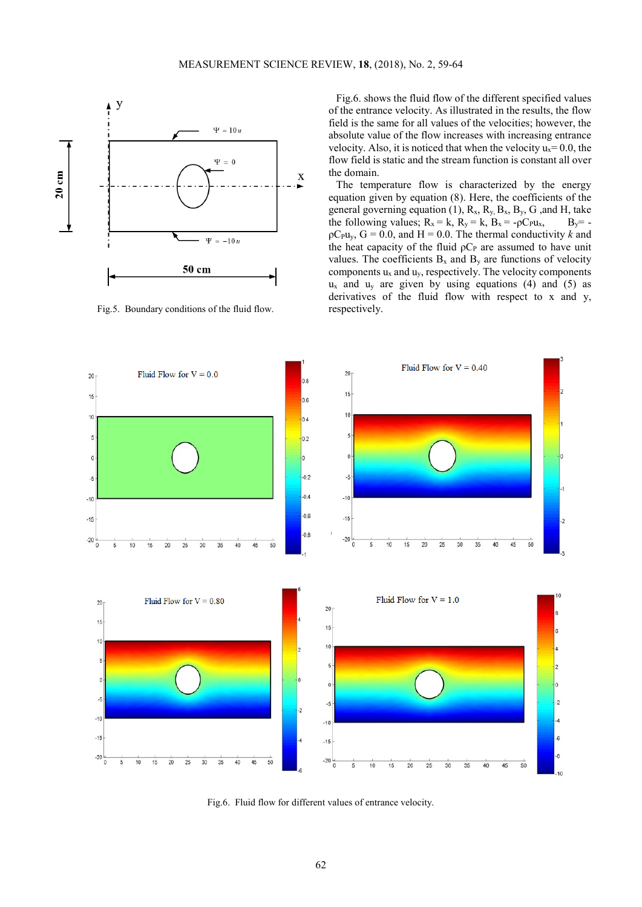

Fig.5. Boundary conditions of the fluid flow.

Fig.6. shows the fluid flow of the different specified values of the entrance velocity. As illustrated in the results, the flow field is the same for all values of the velocities; however, the absolute value of the flow increases with increasing entrance velocity. Also, it is noticed that when the velocity  $u_x = 0.0$ , the flow field is static and the stream function is constant all over the domain.

The temperature flow is characterized by the energy equation given by equation (8). Here, the coefficients of the general governing equation (1),  $R_x$ ,  $R_y$ ,  $B_x$ ,  $B_y$ ,  $G$ , and H, take the following values;  $R_x = k$ ,  $R_y = k$ ,  $B_x = -\rho C_P u_x$ ,  $B_y = -\rho C_P u_y$  $pC_{\text{PU}_y}$ ,  $G = 0.0$ , and  $H = 0.0$ . The thermal conductivity *k* and the heat capacity of the fluid  $pC<sub>P</sub>$  are assumed to have unit values. The coefficients  $B_x$  and  $B_y$  are functions of velocity components  $u_x$  and  $u_y$ , respectively. The velocity components  $u_x$  and  $u_y$  are given by using equations (4) and (5) as derivatives of the fluid flow with respect to x and y, respectively.



Fig.6. Fluid flow for different values of entrance velocity.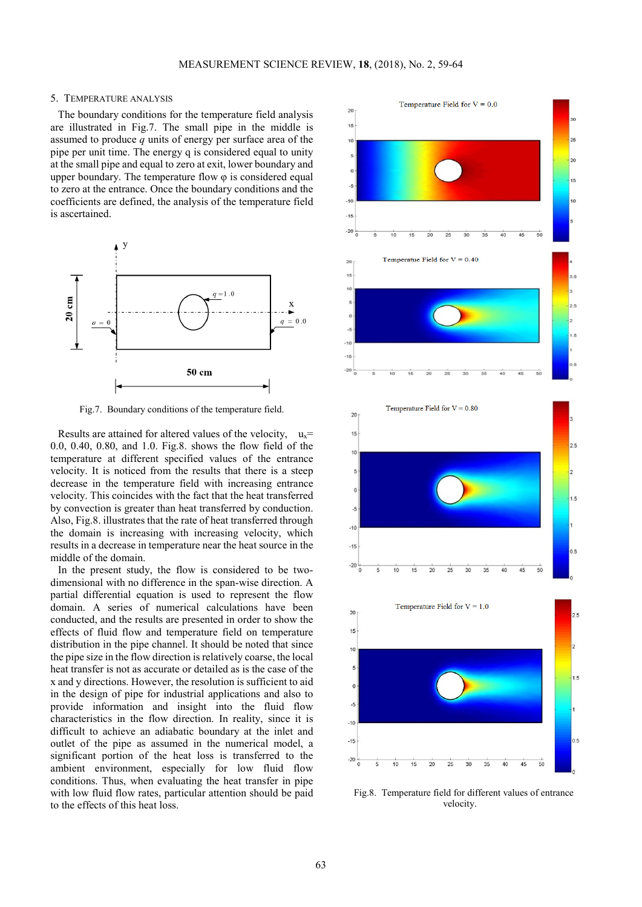#### 5. TEMPERATURE ANALYSIS

The boundary conditions for the temperature field analysis are illustrated in Fig.7. The small pipe in the middle is assumed to produce *q* units of energy per surface area of the pipe per unit time. The energy q is considered equal to unity at the small pipe and equal to zero at exit, lower boundary and upper boundary. The temperature flow  $\varphi$  is considered equal to zero at the entrance. Once the boundary conditions and the coefficients are defined, the analysis of the temperature field is ascertained.



Fig.7. Boundary conditions of the temperature field.

Results are attained for altered values of the velocity,  $u_x =$ 0.0, 0.40, 0.80, and 1.0. Fig.8. shows the flow field of the temperature at different specified values of the entrance velocity. It is noticed from the results that there is a steep decrease in the temperature field with increasing entrance velocity. This coincides with the fact that the heat transferred by convection is greater than heat transferred by conduction. Also, Fig.8. illustrates that the rate of heat transferred through the domain is increasing with increasing velocity, which results in a decrease in temperature near the heat source in the middle of the domain.

In the present study, the flow is considered to be twodimensional with no difference in the span-wise direction. A partial differential equation is used to represent the flow domain. A series of numerical calculations have been conducted, and the results are presented in order to show the effects of fluid flow and temperature field on temperature distribution in the pipe channel. It should be noted that since the pipe size in the flow direction is relatively coarse, the local heat transfer is not as accurate or detailed as is the case of the x and y directions. However, the resolution is sufficient to aid in the design of pipe for industrial applications and also to provide information and insight into the fluid flow characteristics in the flow direction. In reality, since it is difficult to achieve an adiabatic boundary at the inlet and outlet of the pipe as assumed in the numerical model, a significant portion of the heat loss is transferred to the ambient environment, especially for low fluid flow conditions. Thus, when evaluating the heat transfer in pipe with low fluid flow rates, particular attention should be paid to the effects of this heat loss.



Fig.8. Temperature field for different values of entrance velocity.